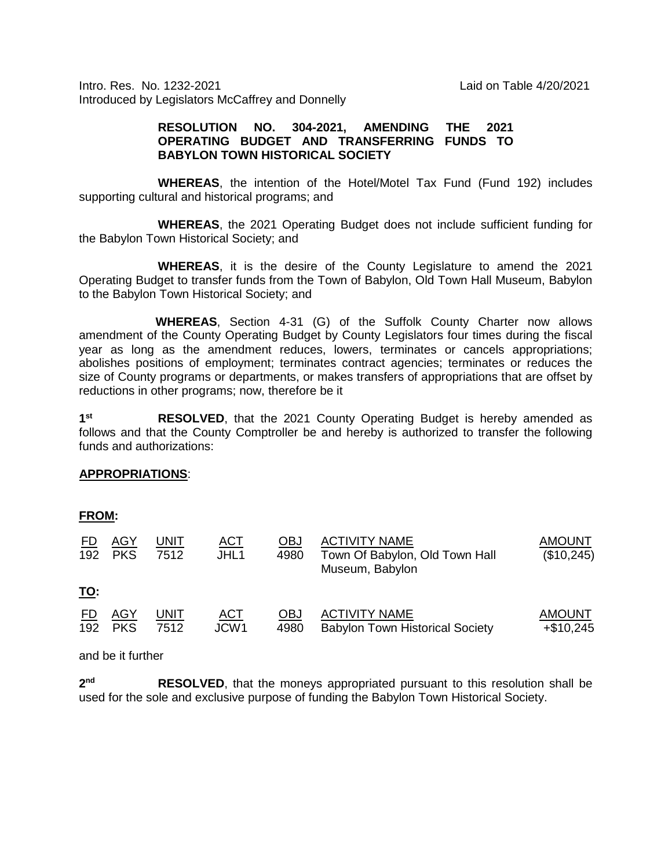Intro. Res. No. 1232-2021 Laid on Table 4/20/2021 Introduced by Legislators McCaffrey and Donnelly

## **RESOLUTION NO. 304-2021, AMENDING THE 2021 OPERATING BUDGET AND TRANSFERRING FUNDS TO BABYLON TOWN HISTORICAL SOCIETY**

**WHEREAS**, the intention of the Hotel/Motel Tax Fund (Fund 192) includes supporting cultural and historical programs; and

**WHEREAS**, the 2021 Operating Budget does not include sufficient funding for the Babylon Town Historical Society; and

**WHEREAS**, it is the desire of the County Legislature to amend the 2021 Operating Budget to transfer funds from the Town of Babylon, Old Town Hall Museum, Babylon to the Babylon Town Historical Society; and

 **WHEREAS**, Section 4-31 (G) of the Suffolk County Charter now allows amendment of the County Operating Budget by County Legislators four times during the fiscal year as long as the amendment reduces, lowers, terminates or cancels appropriations; abolishes positions of employment; terminates contract agencies; terminates or reduces the size of County programs or departments, or makes transfers of appropriations that are offset by reductions in other programs; now, therefore be it

**1st RESOLVED**, that the 2021 County Operating Budget is hereby amended as follows and that the County Comptroller be and hereby is authorized to transfer the following funds and authorizations:

## **APPROPRIATIONS**:

| <u>FROM:</u>     |                          |                     |                    |                    |                                                                           |                               |
|------------------|--------------------------|---------------------|--------------------|--------------------|---------------------------------------------------------------------------|-------------------------------|
| <u>FD</u><br>192 | <u>AGY</u><br><b>PKS</b> | <u>UNIT</u><br>7512 | <u>ACT</u><br>JHL1 | <u>OBJ</u><br>4980 | <b>ACTIVITY NAME</b><br>Town Of Babylon, Old Town Hall<br>Museum, Babylon | <b>AMOUNT</b><br>(\$10,245)   |
| <u>TO:</u>       |                          |                     |                    |                    |                                                                           |                               |
| <u>FD</u><br>192 | AGY<br><b>PKS</b>        | <b>UNIT</b><br>7512 | <u>ACT</u><br>JCW1 | <u>OBJ</u><br>4980 | <b>ACTIVITY NAME</b><br><b>Babylon Town Historical Society</b>            | <b>AMOUNT</b><br>$+$ \$10,245 |

and be it further

2<sup>nd</sup> RESOLVED, that the moneys appropriated pursuant to this resolution shall be used for the sole and exclusive purpose of funding the Babylon Town Historical Society.